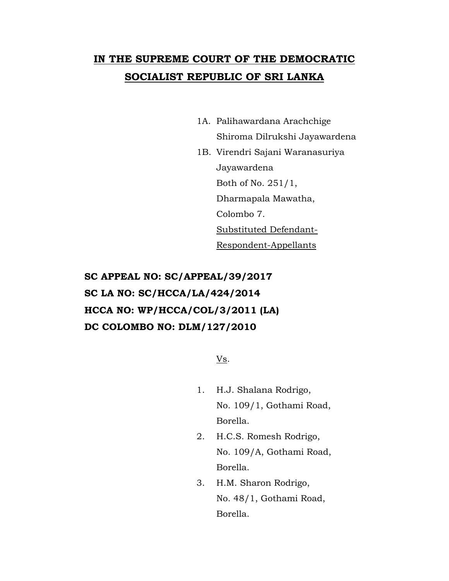## **IN THE SUPREME COURT OF THE DEMOCRATIC SOCIALIST REPUBLIC OF SRI LANKA**

- 1A. Palihawardana Arachchige Shiroma Dilrukshi Jayawardena
- 1B. Virendri Sajani Waranasuriya Jayawardena Both of No. 251/1, Dharmapala Mawatha, Colombo 7. Substituted Defendant-Respondent-Appellants

## **SC APPEAL NO: SC/APPEAL/39/2017 SC LA NO: SC/HCCA/LA/424/2014 HCCA NO: WP/HCCA/COL/3/2011 (LA) DC COLOMBO NO: DLM/127/2010**

Vs.

- 1. H.J. Shalana Rodrigo, No. 109/1, Gothami Road, Borella.
- 2. H.C.S. Romesh Rodrigo, No. 109/A, Gothami Road, Borella.
- 3. H.M. Sharon Rodrigo, No. 48/1, Gothami Road, Borella.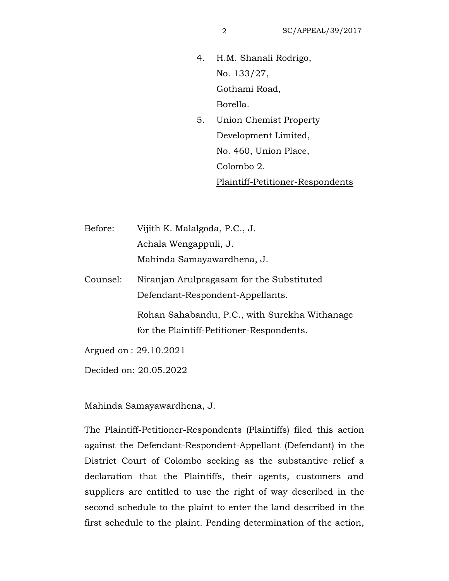- 4. H.M. Shanali Rodrigo, No. 133/27, Gothami Road, Borella.
- 5. Union Chemist Property Development Limited, No. 460, Union Place, Colombo 2. Plaintiff-Petitioner-Respondents

Before: Vijith K. Malalgoda, P.C., J. Achala Wengappuli, J. Mahinda Samayawardhena, J.

Counsel: Niranjan Arulpragasam for the Substituted Defendant-Respondent-Appellants.

> Rohan Sahabandu, P.C., with Surekha Withanage for the Plaintiff-Petitioner-Respondents.

Argued on : 29.10.2021

Decided on: 20.05.2022

Mahinda Samayawardhena, J.

The Plaintiff-Petitioner-Respondents (Plaintiffs) filed this action against the Defendant-Respondent-Appellant (Defendant) in the District Court of Colombo seeking as the substantive relief a declaration that the Plaintiffs, their agents, customers and suppliers are entitled to use the right of way described in the second schedule to the plaint to enter the land described in the first schedule to the plaint. Pending determination of the action,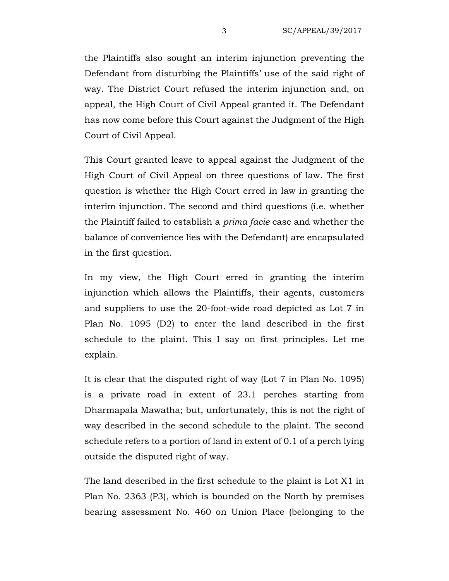the Plaintiffs also sought an interim injunction preventing the Defendant from disturbing the Plaintiffs' use of the said right of way. The District Court refused the interim injunction and, on appeal, the High Court of Civil Appeal granted it. The Defendant has now come before this Court against the Judgment of the High Court of Civil Appeal.

This Court granted leave to appeal against the Judgment of the High Court of Civil Appeal on three questions of law. The first question is whether the High Court erred in law in granting the interim injunction. The second and third questions (i.e. whether the Plaintiff failed to establish a *prima facie* case and whether the balance of convenience lies with the Defendant) are encapsulated in the first question.

In my view, the High Court erred in granting the interim injunction which allows the Plaintiffs, their agents, customers and suppliers to use the 20-foot-wide road depicted as Lot 7 in Plan No. 1095 (D2) to enter the land described in the first schedule to the plaint. This I say on first principles. Let me explain.

It is clear that the disputed right of way (Lot 7 in Plan No. 1095) is a private road in extent of 23.1 perches starting from Dharmapala Mawatha; but, unfortunately, this is not the right of way described in the second schedule to the plaint. The second schedule refers to a portion of land in extent of 0.1 of a perch lying outside the disputed right of way.

The land described in the first schedule to the plaint is Lot X1 in Plan No. 2363 (P3), which is bounded on the North by premises bearing assessment No. 460 on Union Place (belonging to the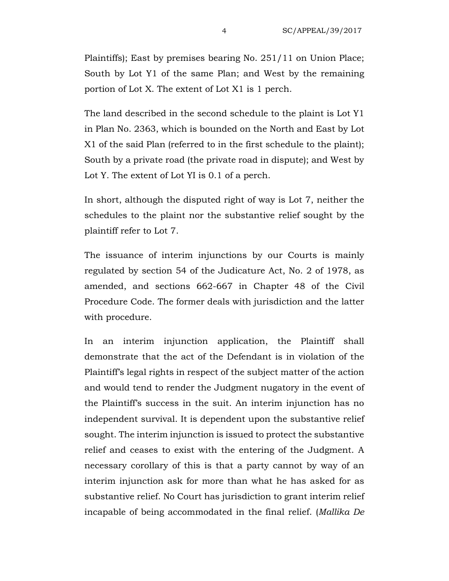Plaintiffs); East by premises bearing No. 251/11 on Union Place; South by Lot Y1 of the same Plan; and West by the remaining portion of Lot X. The extent of Lot X1 is 1 perch.

The land described in the second schedule to the plaint is Lot Y1 in Plan No. 2363, which is bounded on the North and East by Lot X1 of the said Plan (referred to in the first schedule to the plaint); South by a private road (the private road in dispute); and West by Lot Y. The extent of Lot YI is 0.1 of a perch.

In short, although the disputed right of way is Lot 7, neither the schedules to the plaint nor the substantive relief sought by the plaintiff refer to Lot 7.

The issuance of interim injunctions by our Courts is mainly regulated by section 54 of the Judicature Act, No. 2 of 1978, as amended, and sections 662-667 in Chapter 48 of the Civil Procedure Code. The former deals with jurisdiction and the latter with procedure.

In an interim injunction application, the Plaintiff shall demonstrate that the act of the Defendant is in violation of the Plaintiff's legal rights in respect of the subject matter of the action and would tend to render the Judgment nugatory in the event of the Plaintiff's success in the suit. An interim injunction has no independent survival. It is dependent upon the substantive relief sought. The interim injunction is issued to protect the substantive relief and ceases to exist with the entering of the Judgment. A necessary corollary of this is that a party cannot by way of an interim injunction ask for more than what he has asked for as substantive relief. No Court has jurisdiction to grant interim relief incapable of being accommodated in the final relief. (*Mallika De*